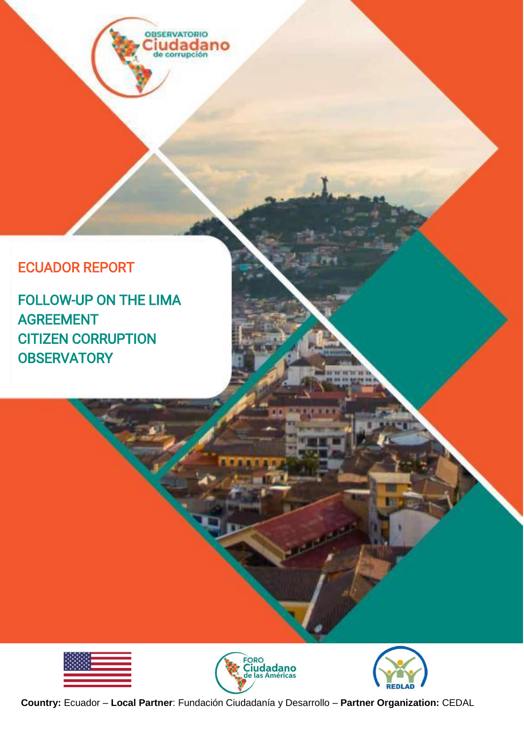**OBSERVATORIO** iudadano

# ECUADOR REPORT

FOLLOW-UP ON THE LIMA AGREEMENT CITIZEN CORRUPTION **OBSERVATORY** 







**Country:** Ecuador – **Local Partner**: Fundación Ciudadanía y Desarrollo – **Partner Organization:** CEDAL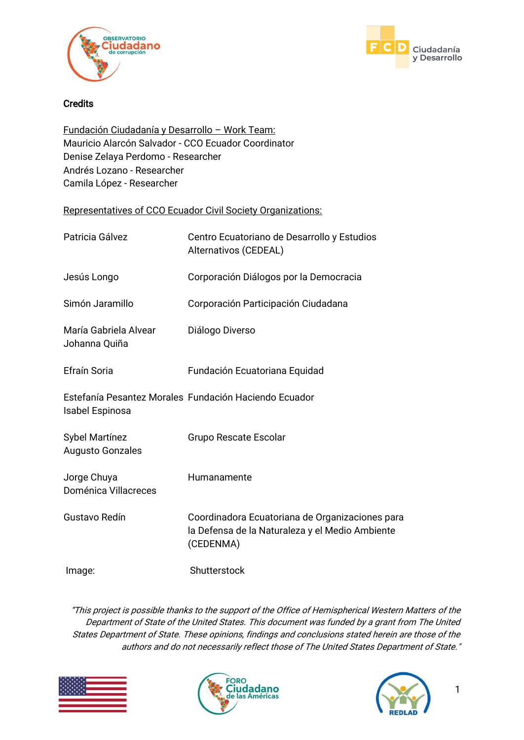



#### **Credits**

Fundación Ciudadanía y Desarrollo – Work Team: Mauricio Alarcón Salvador - CCO Ecuador Coordinator Denise Zelaya Perdomo - Researcher Andrés Lozano - Researcher Camila López - Researcher

#### Representatives of CCO Ecuador Civil Society Organizations:

| Patricia Gálvez                                  | Centro Ecuatoriano de Desarrollo y Estudios<br>Alternativos (CEDEAL)                                            |
|--------------------------------------------------|-----------------------------------------------------------------------------------------------------------------|
| Jesús Longo                                      | Corporación Diálogos por la Democracia                                                                          |
| Simón Jaramillo                                  | Corporación Participación Ciudadana                                                                             |
| María Gabriela Alvear<br>Johanna Quiña           | Diálogo Diverso                                                                                                 |
| Efraín Soria                                     | Fundación Ecuatoriana Equidad                                                                                   |
| Isabel Espinosa                                  | Estefanía Pesantez Morales Fundación Haciendo Ecuador                                                           |
| <b>Sybel Martínez</b><br><b>Augusto Gonzales</b> | Grupo Rescate Escolar                                                                                           |
| Jorge Chuya<br>Doménica Villacreces              | Humanamente                                                                                                     |
| Gustavo Redín                                    | Coordinadora Ecuatoriana de Organizaciones para<br>la Defensa de la Naturaleza y el Medio Ambiente<br>(CEDENMA) |
| Image:                                           | Shutterstock                                                                                                    |

"This project is possible thanks to the support of the Office of Hemispherical Western Matters of the Department of State of the United States. This document was funded by a grant from The United States Department of State. These opinions, findings and conclusions stated herein are those of the authors and do not necessarily reflect those of The United States Department of State."





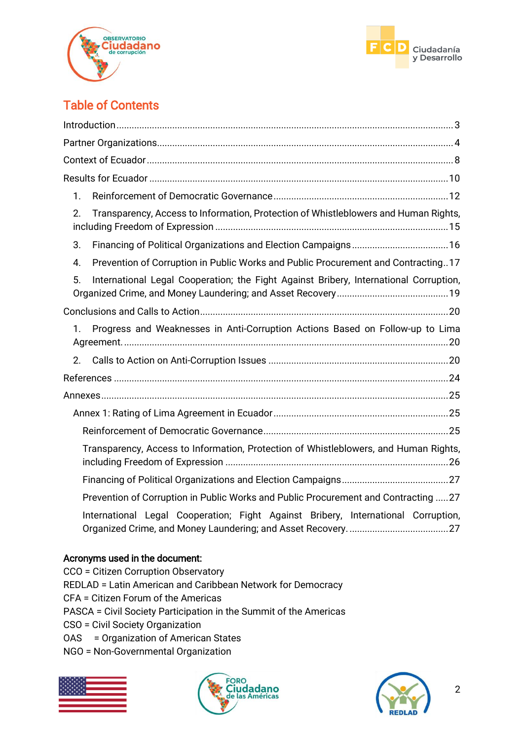



# Table of Contents

| 1.                                                                                          |
|---------------------------------------------------------------------------------------------|
| Transparency, Access to Information, Protection of Whistleblowers and Human Rights,<br>2.   |
| 3.                                                                                          |
| Prevention of Corruption in Public Works and Public Procurement and Contracting17<br>4.     |
| 5.<br>International Legal Cooperation; the Fight Against Bribery, International Corruption, |
|                                                                                             |
| Progress and Weaknesses in Anti-Corruption Actions Based on Follow-up to Lima<br>1.         |
| 2.                                                                                          |
|                                                                                             |
|                                                                                             |
|                                                                                             |
|                                                                                             |
| Transparency, Access to Information, Protection of Whistleblowers, and Human Rights,        |
|                                                                                             |
| Prevention of Corruption in Public Works and Public Procurement and Contracting 27          |
| International Legal Cooperation; Fight Against Bribery, International Corruption,           |

### Acronyms used in the document:

CCO = Citizen Corruption Observatory REDLAD = Latin American and Caribbean Network for Democracy CFA = Citizen Forum of the Americas PASCA = Civil Society Participation in the Summit of the Americas CSO = Civil Society Organization

- OAS = Organization of American States
- NGO = Non-Governmental Organization





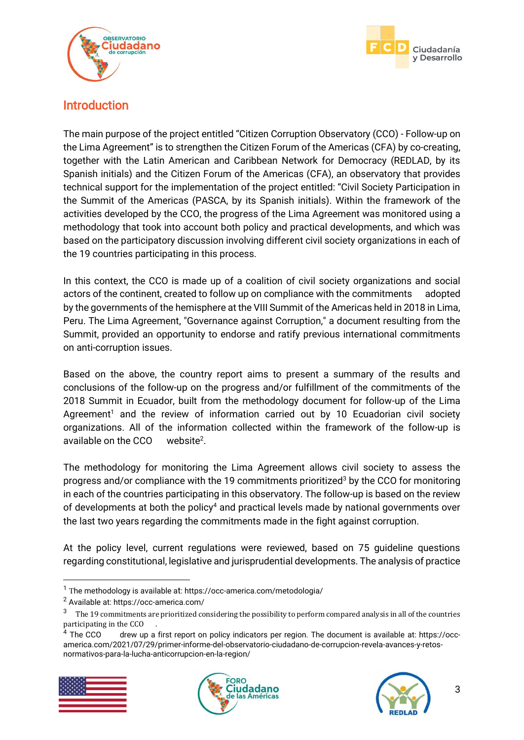



## <span id="page-3-0"></span>Introduction

The main purpose of the project entitled "Citizen Corruption Observatory (CCO) - Follow-up on the Lima Agreement" is to strengthen the Citizen Forum of the Americas (CFA) by co-creating, together with the Latin American and Caribbean Network for Democracy (REDLAD, by its Spanish initials) and the Citizen Forum of the Americas (CFA), an observatory that provides technical support for the implementation of the project entitled: "Civil Society Participation in the Summit of the Americas (PASCA, by its Spanish initials). Within the framework of the activities developed by the CCO, the progress of the Lima Agreement was monitored using a methodology that took into account both policy and practical developments, and which was based on the participatory discussion involving different civil society organizations in each of the 19 countries participating in this process.

In this context, the CCO is made up of a coalition of civil society organizations and social actors of the continent, created to follow up on compliance with the commitments adopted by the governments of the hemisphere at the VIII Summit of the Americas held in 2018 in Lima, Peru. The Lima Agreement, "Governance against Corruption," a document resulting from the Summit, provided an opportunity to endorse and ratify previous international commitments on anti-corruption issues.

Based on the above, the country report aims to present a summary of the results and conclusions of the follow-up on the progress and/or fulfillment of the commitments of the 2018 Summit in Ecuador, built from the methodology document for follow-up of the Lima Agreement<sup>1</sup> and the review of information carried out by 10 Ecuadorian civil society organizations. All of the information collected within the framework of the follow-up is available on the CCO website<sup>2</sup>.

The methodology for monitoring the Lima Agreement allows civil society to assess the progress and/or compliance with the 19 commitments prioritized<sup>3</sup> by the CCO for monitoring in each of the countries participating in this observatory. The follow-up is based on the review of developments at both the policy<sup>4</sup> and practical levels made by national governments over the last two years regarding the commitments made in the fight against corruption.

At the policy level, current regulations were reviewed, based on 75 guideline questions regarding constitutional, legislative and jurisprudential developments. The analysis of practice

drew up a first report on policy indicators per region. The document is available at: https://occamerica.com/2021/07/29/primer-informe-del-observatorio-ciudadano-de-corrupcion-revela-avances-y-retosnormativos-para-la-lucha-anticorrupcion-en-la-region/







<sup>1</sup> The methodology is available at: https://occ-america.com/metodologia/

<sup>2</sup> Available at: https://occ-america.com/

<sup>&</sup>lt;sup>3</sup> The 19 commitments are prioritized considering the possibility to perform compared analysis in all of the countries participating in the CCO<br><sup>4</sup> The CCO ... drew up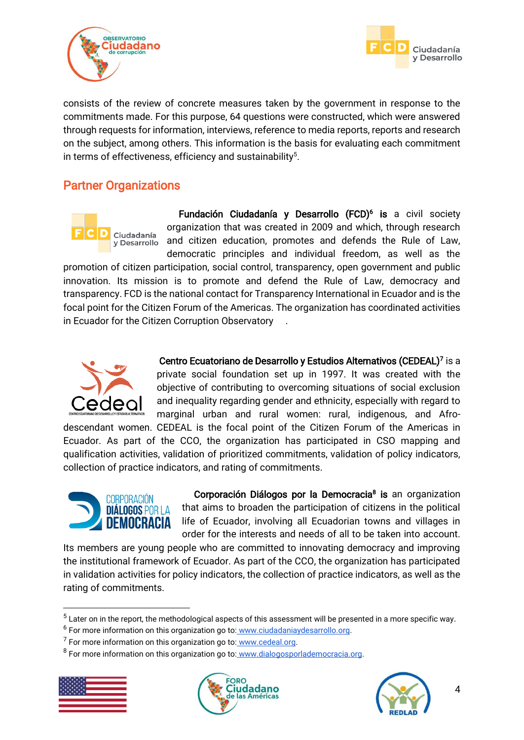



consists of the review of concrete measures taken by the government in response to the commitments made. For this purpose, 64 questions were constructed, which were answered through requests for information, interviews, reference to media reports, reports and research on the subject, among others. This information is the basis for evaluating each commitment in terms of effectiveness, efficiency and sustainability $5$ .

# <span id="page-4-0"></span>Partner Organizations



Fundación Ciudadanía y Desarrollo (FCD)<sup>6</sup> is a civil society organization that was created in 2009 and which, through research and citizen education, promotes and defends the Rule of Law, democratic principles and individual freedom, as well as the

promotion of citizen participation, social control, transparency, open government and public innovation. Its mission is to promote and defend the Rule of Law, democracy and transparency. FCD is the national contact for Transparency International in Ecuador and is the focal point for the Citizen Forum of the Americas. The organization has coordinated activities in Ecuador for the Citizen Corruption Observatory .



 Centro Ecuatoriano de Desarrollo y Estudios Alternativos (CEDEAL)<sup>7</sup> is a private social foundation set up in 1997. It was created with the objective of contributing to overcoming situations of social exclusion and inequality regarding gender and ethnicity, especially with regard to marginal urban and rural women: rural, indigenous, and Afro-

descendant women. CEDEAL is the focal point of the Citizen Forum of the Americas in Ecuador. As part of the CCO, the organization has participated in CSO mapping and qualification activities, validation of prioritized commitments, validation of policy indicators, collection of practice indicators, and rating of commitments.



Corporación Diálogos por la Democracia<sup>8</sup> is an organization that aims to broaden the participation of citizens in the political life of Ecuador, involving all Ecuadorian towns and villages in order for the interests and needs of all to be taken into account.

Its members are young people who are committed to innovating democracy and improving the institutional framework of Ecuador. As part of the CCO, the organization has participated in validation activities for policy indicators, the collection of practice indicators, as well as the rating of commitments.

<sup>&</sup>lt;sup>8</sup> For more information on this organization go to: [www.dialogosporlademocracia.org.](http://www.dialogosporlademocracia.org/)



1





 $5$  Later on in the report, the methodological aspects of this assessment will be presented in a more specific way.

<sup>&</sup>lt;sup>6</sup> For more information on this organization go to: [www.ciudadaniaydesarrollo.org.](http://www.ciudadaniaydesarrollo.orglas/)

<sup>&</sup>lt;sup>7</sup> For more information on this organization go to: [www.cedeal.org.](http://www.cedeal.org/)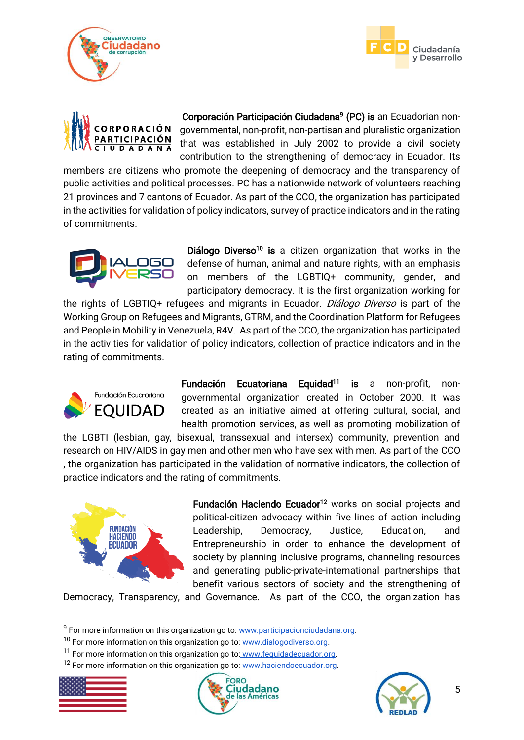





 Corporación Participación Ciudadana<sup>9</sup> (PC) is an Ecuadorian nongovernmental, non-profit, non-partisan and pluralistic organization that was established in July 2002 to provide a civil society contribution to the strengthening of democracy in Ecuador. Its

members are citizens who promote the deepening of democracy and the transparency of public activities and political processes. PC has a nationwide network of volunteers reaching 21 provinces and 7 cantons of Ecuador. As part of the CCO, the organization has participated in the activities for validation of policy indicators, survey of practice indicators and in the rating of commitments.



Diálogo Diverso<sup>10</sup> is a citizen organization that works in the defense of human, animal and nature rights, with an emphasis on members of the LGBTIQ+ community, gender, and participatory democracy. It is the first organization working for

the rights of LGBTIQ+ refugees and migrants in Ecuador. *Diálogo Diverso* is part of the Working Group on Refugees and Migrants, GTRM, and the Coordination Platform for Refugees and People in Mobility in Venezuela, R4V. As part of the CCO, the organization has participated in the activities for validation of policy indicators, collection of practice indicators and in the rating of commitments.



Fundación Ecuatoriana Equidad<sup>11</sup> is a non-profit, nongovernmental organization created in October 2000. It was created as an initiative aimed at offering cultural, social, and health promotion services, as well as promoting mobilization of

the LGBTI (lesbian, gay, bisexual, transsexual and intersex) community, prevention and research on HIV/AIDS in gay men and other men who have sex with men. As part of the CCO , the organization has participated in the validation of normative indicators, the collection of practice indicators and the rating of commitments.



Fundación Haciendo Ecuador<sup>12</sup> works on social projects and political-citizen advocacy within five lines of action including Leadership, Democracy, Justice, Education, and Entrepreneurship in order to enhance the development of society by planning inclusive programs, channeling resources and generating public-private-international partnerships that benefit various sectors of society and the strengthening of

Democracy, Transparency, and Governance. As part of the CCO, the organization has

<sup>12</sup> For more information on this organization go to: [www.haciendoecuador.org.](http://www.haciendoecuador.org/)







<sup>&</sup>lt;sup>9</sup> For more information on this organization go to: [www.participacionciudadana.org.](http://www.participacionciudadana.org/)

 $10$  For more information on this organization go to: [www.dialogodiverso.org.](http://www.dialogodiverso.org/)

<sup>&</sup>lt;sup>11</sup> For more information on this organization go to: [www.fequidadecuador.org.](http://www.fequidadecuador.org/)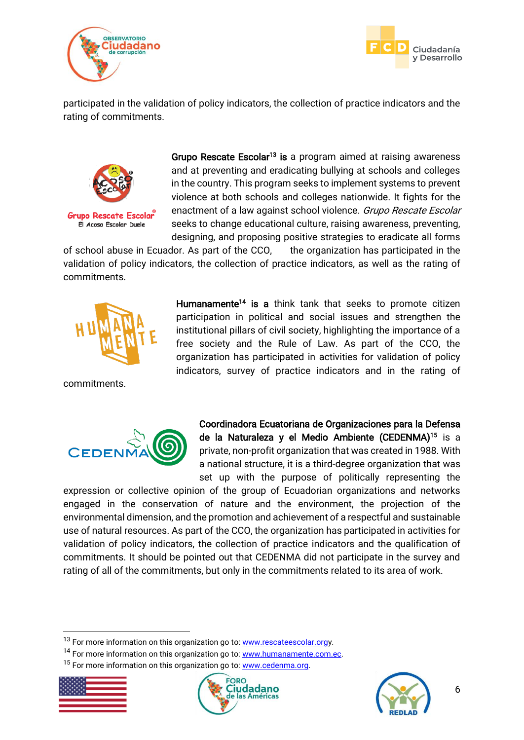



participated in the validation of policy indicators, the collection of practice indicators and the rating of commitments.



Grupo Rescate Escolar<sup>13</sup> is a program aimed at raising awareness and at preventing and eradicating bullying at schools and colleges in the country. This program seeks to implement systems to prevent violence at both schools and colleges nationwide. It fights for the enactment of a law against school violence. Grupo Rescate Escolar seeks to change educational culture, raising awareness, preventing, designing, and proposing positive strategies to eradicate all forms

of school abuse in Ecuador. As part of the CCO, the organization has participated in the validation of policy indicators, the collection of practice indicators, as well as the rating of commitments.



commitments.



Humanamente<sup>14</sup> is a think tank that seeks to promote citizen participation in political and social issues and strengthen the institutional pillars of civil society, highlighting the importance of a free society and the Rule of Law. As part of the CCO, the organization has participated in activities for validation of policy indicators, survey of practice indicators and in the rating of

Coordinadora Ecuatoriana de Organizaciones para la Defensa de la Naturaleza y el Medio Ambiente (CEDENMA)<sup>15</sup> is a private, non-profit organization that was created in 1988. With a national structure, it is a third-degree organization that was set up with the purpose of politically representing the

expression or collective opinion of the group of Ecuadorian organizations and networks engaged in the conservation of nature and the environment, the projection of the environmental dimension, and the promotion and achievement of a respectful and sustainable use of natural resources. As part of the CCO, the organization has participated in activities for validation of policy indicators, the collection of practice indicators and the qualification of commitments. It should be pointed out that CEDENMA did not participate in the survey and rating of all of the commitments, but only in the commitments related to its area of work.

<sup>&</sup>lt;sup>15</sup> For more information on this organization go to[: www.cedenma.org.](about:blank)



-





<sup>&</sup>lt;sup>13</sup> For more information on this organization go to[: www.rescateescolar.orgy](about:blank).

<sup>&</sup>lt;sup>14</sup> For more information on this organization go to[: www.humanamente.com.ec.](about:blank)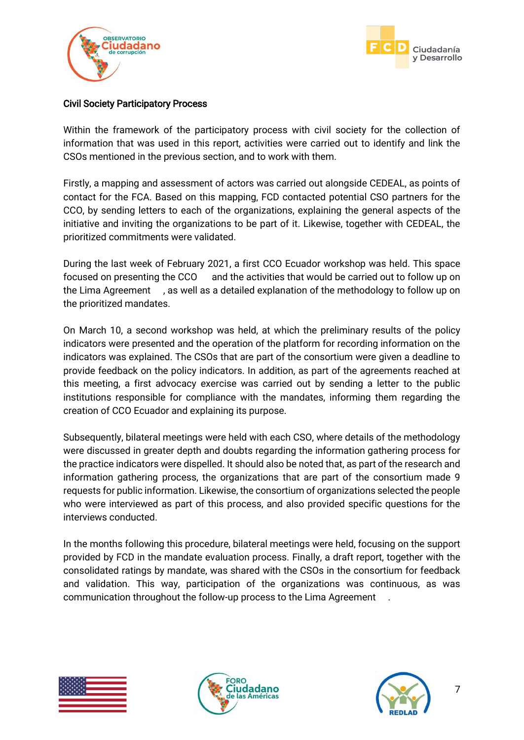



#### Civil Society Participatory Process

Within the framework of the participatory process with civil society for the collection of information that was used in this report, activities were carried out to identify and link the CSOs mentioned in the previous section, and to work with them.

Firstly, a mapping and assessment of actors was carried out alongside CEDEAL, as points of contact for the FCA. Based on this mapping, FCD contacted potential CSO partners for the CCO, by sending letters to each of the organizations, explaining the general aspects of the initiative and inviting the organizations to be part of it. Likewise, together with CEDEAL, the prioritized commitments were validated.

During the last week of February 2021, a first CCO Ecuador workshop was held. This space focused on presenting the CCO and the activities that would be carried out to follow up on the Lima Agreement , as well as a detailed explanation of the methodology to follow up on the prioritized mandates.

On March 10, a second workshop was held, at which the preliminary results of the policy indicators were presented and the operation of the platform for recording information on the indicators was explained. The CSOs that are part of the consortium were given a deadline to provide feedback on the policy indicators. In addition, as part of the agreements reached at this meeting, a first advocacy exercise was carried out by sending a letter to the public institutions responsible for compliance with the mandates, informing them regarding the creation of CCO Ecuador and explaining its purpose.

Subsequently, bilateral meetings were held with each CSO, where details of the methodology were discussed in greater depth and doubts regarding the information gathering process for the practice indicators were dispelled. It should also be noted that, as part of the research and information gathering process, the organizations that are part of the consortium made 9 requests for public information. Likewise, the consortium of organizations selected the people who were interviewed as part of this process, and also provided specific questions for the interviews conducted.

In the months following this procedure, bilateral meetings were held, focusing on the support provided by FCD in the mandate evaluation process. Finally, a draft report, together with the consolidated ratings by mandate, was shared with the CSOs in the consortium for feedback and validation. This way, participation of the organizations was continuous, as was communication throughout the follow-up process to the Lima Agreement .





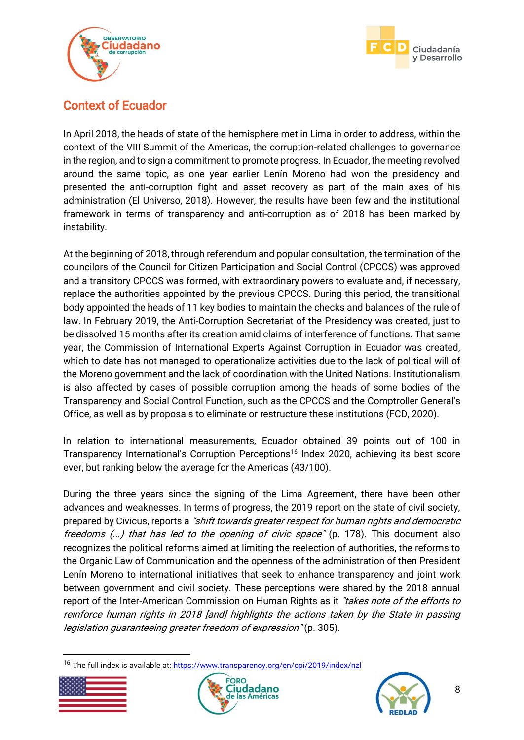



# <span id="page-8-0"></span>Context of Ecuador

In April 2018, the heads of state of the hemisphere met in Lima in order to address, within the context of the VIII Summit of the Americas, the corruption-related challenges to governance in the region, and to sign a commitment to promote progress. In Ecuador, the meeting revolved around the same topic, as one year earlier Lenín Moreno had won the presidency and presented the anti-corruption fight and asset recovery as part of the main axes of his administration (El Universo, 2018). However, the results have been few and the institutional framework in terms of transparency and anti-corruption as of 2018 has been marked by instability.

At the beginning of 2018, through referendum and popular consultation, the termination of the councilors of the Council for Citizen Participation and Social Control (CPCCS) was approved and a transitory CPCCS was formed, with extraordinary powers to evaluate and, if necessary, replace the authorities appointed by the previous CPCCS. During this period, the transitional body appointed the heads of 11 key bodies to maintain the checks and balances of the rule of law. In February 2019, the Anti-Corruption Secretariat of the Presidency was created, just to be dissolved 15 months after its creation amid claims of interference of functions. That same year, the Commission of International Experts Against Corruption in Ecuador was created, which to date has not managed to operationalize activities due to the lack of political will of the Moreno government and the lack of coordination with the United Nations. Institutionalism is also affected by cases of possible corruption among the heads of some bodies of the Transparency and Social Control Function, such as the CPCCS and the Comptroller General's Office, as well as by proposals to eliminate or restructure these institutions (FCD, 2020).

In relation to international measurements, Ecuador obtained 39 points out of 100 in Transparency International's Corruption Perceptions<sup>16</sup> Index 2020, achieving its best score ever, but ranking below the average for the Americas (43/100).

During the three years since the signing of the Lima Agreement, there have been other advances and weaknesses. In terms of progress, the 2019 report on the state of civil society, prepared by Civicus, reports a "shift towards greater respect for human rights and democratic freedoms  $(...)$  that has led to the opening of civic space" (p. 178). This document also recognizes the political reforms aimed at limiting the reelection of authorities, the reforms to the Organic Law of Communication and the openness of the administration of then President Lenín Moreno to international initiatives that seek to enhance transparency and joint work between government and civil society. These perceptions were shared by the 2018 annual report of the Inter-American Commission on Human Rights as it "takes note of the efforts to reinforce human rights in 2018 [and] highlights the actions taken by the State in passing legislation guaranteeing greater freedom of expression" (p. 305).

<sup>&</sup>lt;sup>16</sup> The full index is available a[t: https://www.transparency.org/en/cpi/2019/index/nzl](about:blank)





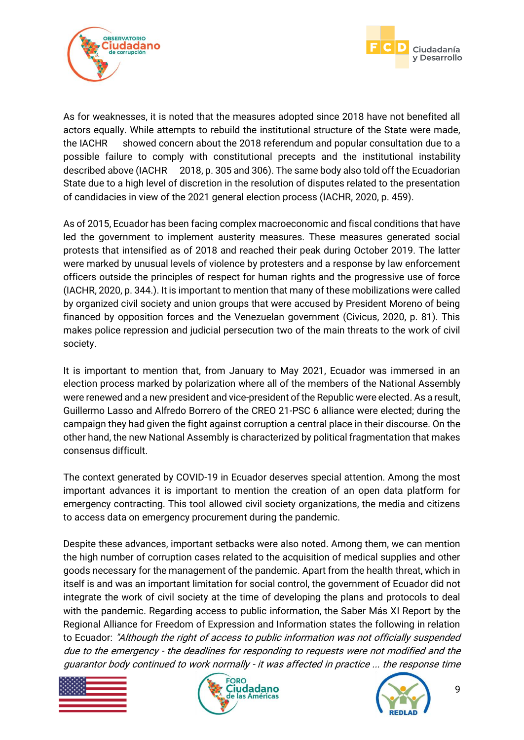



As for weaknesses, it is noted that the measures adopted since 2018 have not benefited all actors equally. While attempts to rebuild the institutional structure of the State were made, the IACHR showed concern about the 2018 referendum and popular consultation due to a possible failure to comply with constitutional precepts and the institutional instability described above (IACHR 2018, p. 305 and 306). The same body also told off the Ecuadorian State due to a high level of discretion in the resolution of disputes related to the presentation of candidacies in view of the 2021 general election process (IACHR, 2020, p. 459).

As of 2015, Ecuador has been facing complex macroeconomic and fiscal conditions that have led the government to implement austerity measures. These measures generated social protests that intensified as of 2018 and reached their peak during October 2019. The latter were marked by unusual levels of violence by protesters and a response by law enforcement officers outside the principles of respect for human rights and the progressive use of force (IACHR, 2020, p. 344.). It is important to mention that many of these mobilizations were called by organized civil society and union groups that were accused by President Moreno of being financed by opposition forces and the Venezuelan government (Civicus, 2020, p. 81). This makes police repression and judicial persecution two of the main threats to the work of civil society.

It is important to mention that, from January to May 2021, Ecuador was immersed in an election process marked by polarization where all of the members of the National Assembly were renewed and a new president and vice-president of the Republic were elected. As a result, Guillermo Lasso and Alfredo Borrero of the CREO 21-PSC 6 alliance were elected; during the campaign they had given the fight against corruption a central place in their discourse. On the other hand, the new National Assembly is characterized by political fragmentation that makes consensus difficult.

The context generated by COVID-19 in Ecuador deserves special attention. Among the most important advances it is important to mention the creation of an open data platform for emergency contracting. This tool allowed civil society organizations, the media and citizens to access data on emergency procurement during the pandemic.

Despite these advances, important setbacks were also noted. Among them, we can mention the high number of corruption cases related to the acquisition of medical supplies and other goods necessary for the management of the pandemic. Apart from the health threat, which in itself is and was an important limitation for social control, the government of Ecuador did not integrate the work of civil society at the time of developing the plans and protocols to deal with the pandemic. Regarding access to public information, the Saber Más XI Report by the Regional Alliance for Freedom of Expression and Information states the following in relation to Ecuador: "Although the right of access to public information was not officially suspended due to the emergency - the deadlines for responding to requests were not modified and the guarantor body continued to work normally - it was affected in practice ... the response time





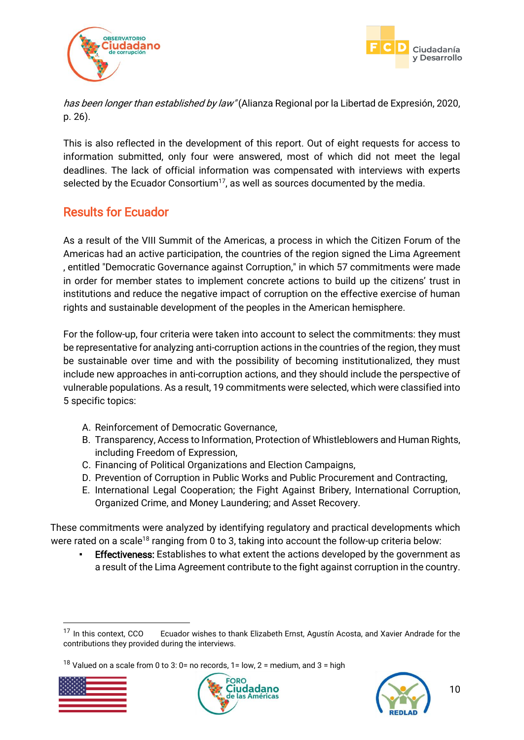



has been longer than established by law" (Alianza Regional por la Libertad de Expresión, 2020, p. 26).

This is also reflected in the development of this report. Out of eight requests for access to information submitted, only four were answered, most of which did not meet the legal deadlines. The lack of official information was compensated with interviews with experts selected by the Ecuador Consortium<sup>17</sup>, as well as sources documented by the media.

# <span id="page-10-0"></span>Results for Ecuador

As a result of the VIII Summit of the Americas, a process in which the Citizen Forum of the Americas had an active participation, the countries of the region signed the Lima Agreement , entitled "Democratic Governance against Corruption," in which 57 commitments were made in order for member states to implement concrete actions to build up the citizens' trust in institutions and reduce the negative impact of corruption on the effective exercise of human rights and sustainable development of the peoples in the American hemisphere.

For the follow-up, four criteria were taken into account to select the commitments: they must be representative for analyzing anti-corruption actions in the countries of the region, they must be sustainable over time and with the possibility of becoming institutionalized, they must include new approaches in anti-corruption actions, and they should include the perspective of vulnerable populations. As a result, 19 commitments were selected, which were classified into 5 specific topics:

- A. Reinforcement of Democratic Governance,
- B. Transparency, Access to Information, Protection of Whistleblowers and Human Rights, including Freedom of Expression,
- C. Financing of Political Organizations and Election Campaigns,
- D. Prevention of Corruption in Public Works and Public Procurement and Contracting,
- E. International Legal Cooperation; the Fight Against Bribery, International Corruption, Organized Crime, and Money Laundering; and Asset Recovery.

These commitments were analyzed by identifying regulatory and practical developments which were rated on a scale<sup>18</sup> ranging from 0 to 3, taking into account the follow-up criteria below:

**Effectiveness:** Establishes to what extent the actions developed by the government as a result of the Lima Agreement contribute to the fight against corruption in the country.

<sup>&</sup>lt;sup>18</sup> Valued on a scale from 0 to 3: 0= no records, 1= low, 2 = medium, and 3 = high







<sup>&</sup>lt;sup>17</sup> In this context, CCO Ecuador wishes to thank Elizabeth Ernst, Agustín Acosta, and Xavier Andrade for the contributions they provided during the interviews.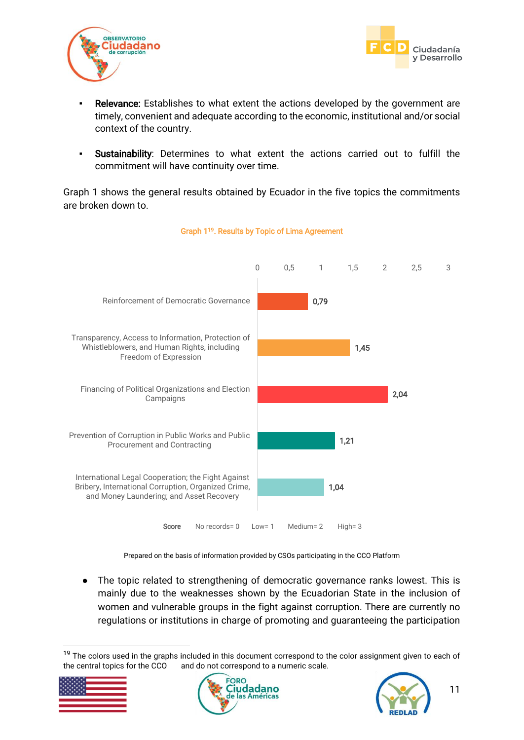



- **Relevance:** Establishes to what extent the actions developed by the government are timely, convenient and adequate according to the economic, institutional and/or social context of the country.
- Sustainability: Determines to what extent the actions carried out to fulfill the commitment will have continuity over time.

Graph 1 shows the general results obtained by Ecuador in the five topics the commitments are broken down to.



#### Graph 1<sup>19</sup>. Results by Topic of Lima Agreement

Prepared on the basis of information provided by CSOs participating in the CCO Platform

The topic related to strengthening of democratic governance ranks lowest. This is mainly due to the weaknesses shown by the Ecuadorian State in the inclusion of women and vulnerable groups in the fight against corruption. There are currently no regulations or institutions in charge of promoting and guaranteeing the participation

<sup>&</sup>lt;sup>19</sup> The colors used in the graphs included in this document correspond to the color assignment given to each of the central topics for the CCO and do not correspond to a numeric scale.





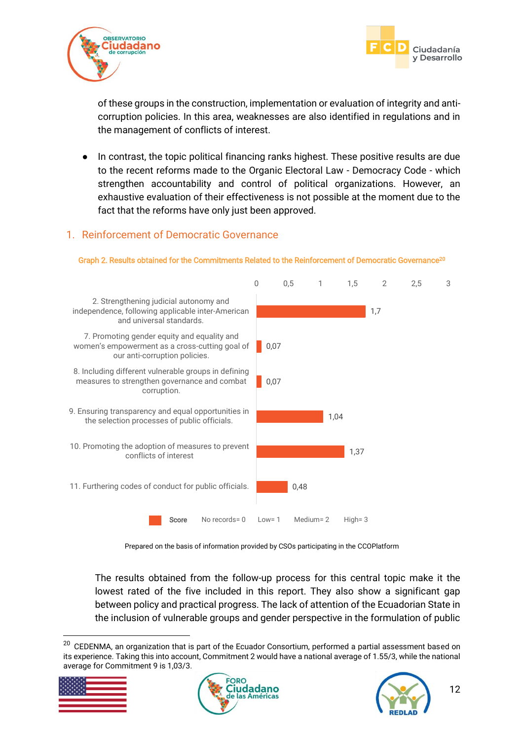



of these groups in the construction, implementation or evaluation of integrity and anticorruption policies. In this area, weaknesses are also identified in regulations and in the management of conflicts of interest.

In contrast, the topic political financing ranks highest. These positive results are due to the recent reforms made to the Organic Electoral Law - Democracy Code - which strengthen accountability and control of political organizations. However, an exhaustive evaluation of their effectiveness is not possible at the moment due to the fact that the reforms have only just been approved.

### <span id="page-12-0"></span>1. Reinforcement of Democratic Governance



Graph 2. Results obtained for the Commitments Related to the Reinforcement of Democratic Governance<sup>20</sup>

Prepared on the basis of information provided by CSOs participating in the CCOPlatform

The results obtained from the follow-up process for this central topic make it the lowest rated of the five included in this report. They also show a significant gap between policy and practical progress. The lack of attention of the Ecuadorian State in the inclusion of vulnerable groups and gender perspective in the formulation of public

 $20$  CEDENMA, an organization that is part of the Ecuador Consortium, performed a partial assessment based on its experience. Taking this into account, Commitment 2 would have a national average of 1.55/3, while the national average for Commitment 9 is 1,03/3.





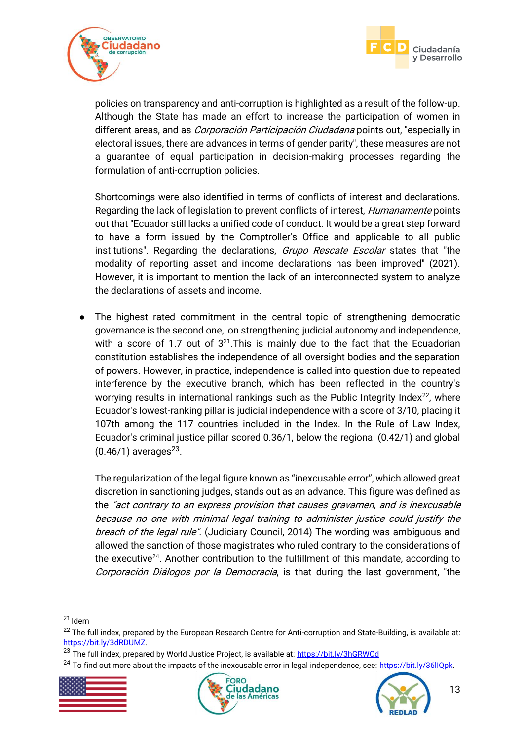



policies on transparency and anti-corruption is highlighted as a result of the follow-up. Although the State has made an effort to increase the participation of women in different areas, and as *Corporación Participación Ciudadana* points out, "especially in electoral issues, there are advances in terms of gender parity", these measures are not a guarantee of equal participation in decision-making processes regarding the formulation of anti-corruption policies.

Shortcomings were also identified in terms of conflicts of interest and declarations. Regarding the lack of legislation to prevent conflicts of interest, *Humanamente* points out that "Ecuador still lacks a unified code of conduct. It would be a great step forward to have a form issued by the Comptroller's Office and applicable to all public institutions". Regarding the declarations, Grupo Rescate Escolar states that "the modality of reporting asset and income declarations has been improved" (2021). However, it is important to mention the lack of an interconnected system to analyze the declarations of assets and income.

● The highest rated commitment in the central topic of strengthening democratic governance is the second one, on strengthening judicial autonomy and independence, with a score of 1.7 out of  $3^{21}$ . This is mainly due to the fact that the Ecuadorian constitution establishes the independence of all oversight bodies and the separation of powers. However, in practice, independence is called into question due to repeated interference by the executive branch, which has been reflected in the country's worrying results in international rankings such as the Public Integrity Index $22$ , where Ecuador's lowest-ranking pillar is judicial independence with a score of 3/10, placing it 107th among the 117 countries included in the Index. In the Rule of Law Index, Ecuador's criminal justice pillar scored 0.36/1, below the regional (0.42/1) and global  $(0.46/1)$  averages<sup>23</sup>.

The regularization of the legal figure known as "inexcusable error", which allowed great discretion in sanctioning judges, stands out as an advance. This figure was defined as the "act contrary to an express provision that causes gravamen, and is inexcusable because no one with minimal legal training to administer justice could justify the breach of the legal rule". (Judiciary Council, 2014) The wording was ambiguous and allowed the sanction of those magistrates who ruled contrary to the considerations of the executive<sup>24</sup>. Another contribution to the fulfillment of this mandate, according to Corporación Diálogos por la Democracia, is that during the last government, "the

-

<sup>&</sup>lt;sup>24</sup> To find out more about the impacts of the inexcusable error in legal independence, see: https://bit.ly/36llQpk.







<sup>21</sup> Idem

<sup>&</sup>lt;sup>22</sup> The full index, prepared by the European Research Centre for Anti-corruption and State-Building, is available at: [https://bit.ly/3dRDUMZ.](https://bit.ly/3dRDUMZ)

<sup>&</sup>lt;sup>23</sup> The full index, prepared by World Justice Project, is available at[: https://bit.ly/3hGRWCd](https://bit.ly/3hGRWCd)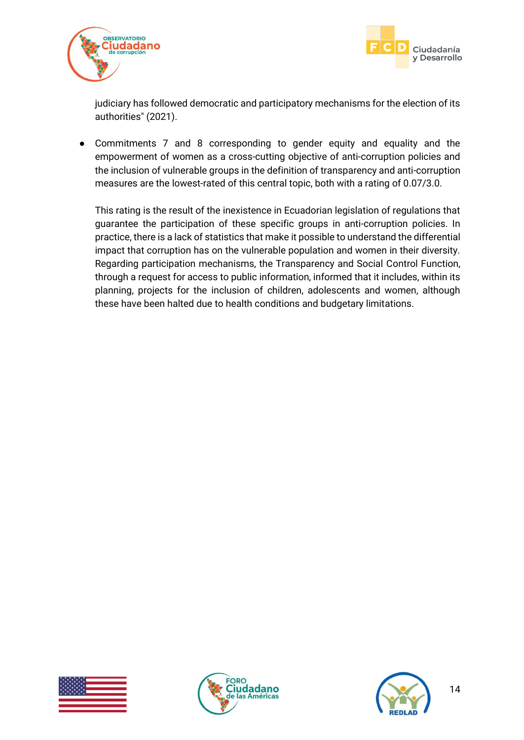



judiciary has followed democratic and participatory mechanisms for the election of its authorities" (2021).

● Commitments 7 and 8 corresponding to gender equity and equality and the empowerment of women as a cross-cutting objective of anti-corruption policies and the inclusion of vulnerable groups in the definition of transparency and anti-corruption measures are the lowest-rated of this central topic, both with a rating of 0.07/3.0.

This rating is the result of the inexistence in Ecuadorian legislation of regulations that guarantee the participation of these specific groups in anti-corruption policies. In practice, there is a lack of statistics that make it possible to understand the differential impact that corruption has on the vulnerable population and women in their diversity. Regarding participation mechanisms, the Transparency and Social Control Function, through a request for access to public information, informed that it includes, within its planning, projects for the inclusion of children, adolescents and women, although these have been halted due to health conditions and budgetary limitations.





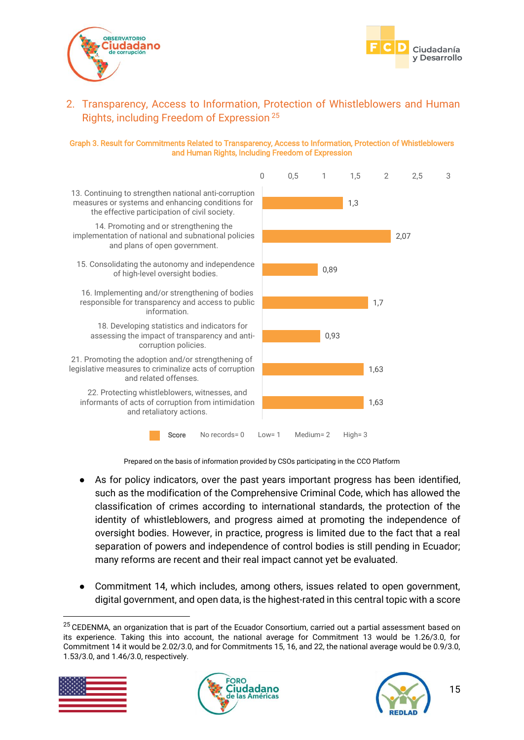



## <span id="page-15-0"></span>2. Transparency, Access to Information, Protection of Whistleblowers and Human Rights, including Freedom of Expression <sup>25</sup>

#### Graph 3. Result for Commitments Related to Transparency, Access to Information, Protection of Whistleblowers and Human Rights, Including Freedom of Expression



Prepared on the basis of information provided by CSOs participating in the CCO Platform

- As for policy indicators, over the past years important progress has been identified, such as the modification of the Comprehensive Criminal Code, which has allowed the classification of crimes according to international standards, the protection of the identity of whistleblowers, and progress aimed at promoting the independence of oversight bodies. However, in practice, progress is limited due to the fact that a real separation of powers and independence of control bodies is still pending in Ecuador; many reforms are recent and their real impact cannot yet be evaluated.
- Commitment 14, which includes, among others, issues related to open government, digital government, and open data, is the highest-rated in this central topic with a score

<sup>&</sup>lt;sup>25</sup> CEDENMA, an organization that is part of the Ecuador Consortium, carried out a partial assessment based on its experience. Taking this into account, the national average for Commitment 13 would be 1.26/3.0, for Commitment 14 it would be 2.02/3.0, and for Commitments 15, 16, and 22, the national average would be 0.9/3.0, 1.53/3.0, and 1.46/3.0, respectively.



-



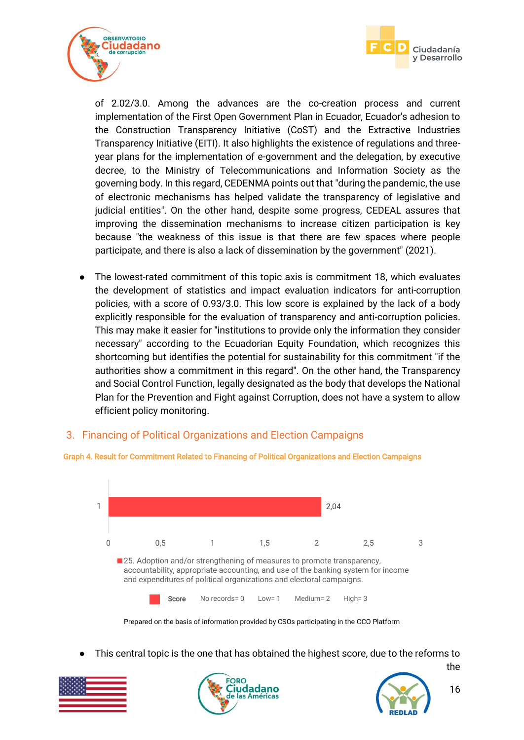



of 2.02/3.0. Among the advances are the co-creation process and current implementation of the First Open Government Plan in Ecuador, Ecuador's adhesion to the Construction Transparency Initiative (CoST) and the Extractive Industries Transparency Initiative (EITI). It also highlights the existence of regulations and threeyear plans for the implementation of e-government and the delegation, by executive decree, to the Ministry of Telecommunications and Information Society as the governing body. In this regard, CEDENMA points out that "during the pandemic, the use of electronic mechanisms has helped validate the transparency of legislative and judicial entities". On the other hand, despite some progress, CEDEAL assures that improving the dissemination mechanisms to increase citizen participation is key because "the weakness of this issue is that there are few spaces where people participate, and there is also a lack of dissemination by the government" (2021).

● The lowest-rated commitment of this topic axis is commitment 18, which evaluates the development of statistics and impact evaluation indicators for anti-corruption policies, with a score of 0.93/3.0. This low score is explained by the lack of a body explicitly responsible for the evaluation of transparency and anti-corruption policies. This may make it easier for "institutions to provide only the information they consider necessary" according to the Ecuadorian Equity Foundation, which recognizes this shortcoming but identifies the potential for sustainability for this commitment "if the authorities show a commitment in this regard". On the other hand, the Transparency and Social Control Function, legally designated as the body that develops the National Plan for the Prevention and Fight against Corruption, does not have a system to allow efficient policy monitoring.

### <span id="page-16-0"></span>3. Financing of Political Organizations and Election Campaigns



#### Graph 4. Result for Commitment Related to Financing of Political Organizations and Election Campaigns

■ 25. Adoption and/or strengthening of measures to promote transparency, accountability, appropriate accounting, and use of the banking system for income and expenditures of political organizations and electoral campaigns.

0 0,5 1 1,5 2 2,5 3

|  | Score | No records = $0$ | $Low = 1$ | Medium= $2$ | High= $3$ |
|--|-------|------------------|-----------|-------------|-----------|
|--|-------|------------------|-----------|-------------|-----------|

Prepared on the basis of information provided by CSOs participating in the CCO Platform

This central topic is the one that has obtained the highest score, due to the reforms to







the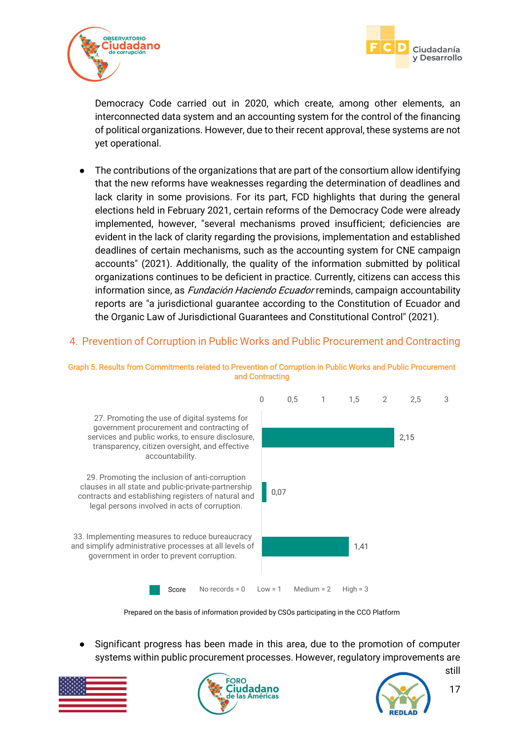



Democracy Code carried out in 2020, which create, among other elements, an interconnected data system and an accounting system for the control of the financing of political organizations. However, due to their recent approval, these systems are not yet operational.

● The contributions of the organizations that are part of the consortium allow identifying that the new reforms have weaknesses regarding the determination of deadlines and lack clarity in some provisions. For its part, FCD highlights that during the general elections held in February 2021, certain reforms of the Democracy Code were already implemented, however, "several mechanisms proved insufficient; deficiencies are evident in the lack of clarity regarding the provisions, implementation and established deadlines of certain mechanisms, such as the accounting system for CNE campaign accounts" (2021). Additionally, the quality of the information submitted by political organizations continues to be deficient in practice. Currently, citizens can access this information since, as *Fundación Haciendo Ecuador* reminds, campaign accountability reports are "a jurisdictional guarantee according to the Constitution of Ecuador and the Organic Law of Jurisdictional Guarantees and Constitutional Control" (2021).

### <span id="page-17-0"></span>4. Prevention of Corruption in Public Works and Public Procurement and Contracting



Graph 5. Results from Commitments related to Prevention of Corruption in Public Works and Public Procurement and Contracting

Prepared on the basis of information provided by CSOs participating in the CCO Platform

Significant progress has been made in this area, due to the promotion of computer systems within public procurement processes. However, regulatory improvements are





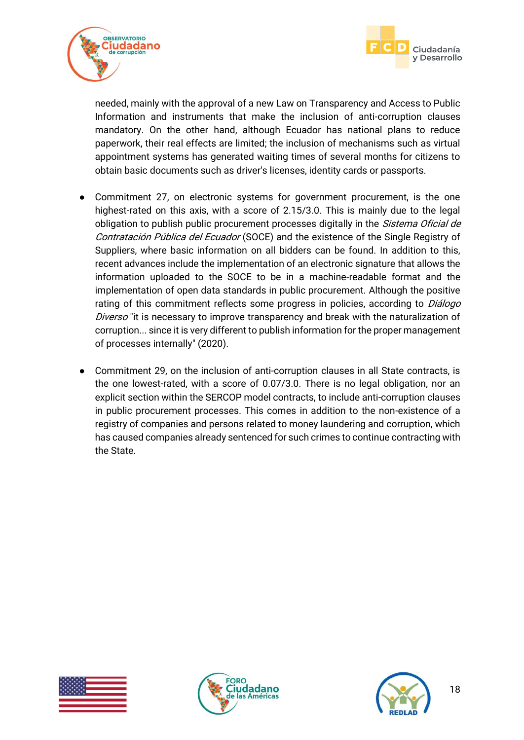



needed, mainly with the approval of a new Law on Transparency and Access to Public Information and instruments that make the inclusion of anti-corruption clauses mandatory. On the other hand, although Ecuador has national plans to reduce paperwork, their real effects are limited; the inclusion of mechanisms such as virtual appointment systems has generated waiting times of several months for citizens to obtain basic documents such as driver's licenses, identity cards or passports.

- Commitment 27, on electronic systems for government procurement, is the one highest-rated on this axis, with a score of 2.15/3.0. This is mainly due to the legal obligation to publish public procurement processes digitally in the *Sistema Oficial de* Contratación Pública del Ecuador (SOCE) and the existence of the Single Registry of Suppliers, where basic information on all bidders can be found. In addition to this, recent advances include the implementation of an electronic signature that allows the information uploaded to the SOCE to be in a machine-readable format and the implementation of open data standards in public procurement. Although the positive rating of this commitment reflects some progress in policies, according to Diálogo Diverso "it is necessary to improve transparency and break with the naturalization of corruption... since it is very different to publish information for the proper management of processes internally" (2020).
- Commitment 29, on the inclusion of anti-corruption clauses in all State contracts, is the one lowest-rated, with a score of 0.07/3.0. There is no legal obligation, nor an explicit section within the SERCOP model contracts, to include anti-corruption clauses in public procurement processes. This comes in addition to the non-existence of a registry of companies and persons related to money laundering and corruption, which has caused companies already sentenced for such crimes to continue contracting with the State.





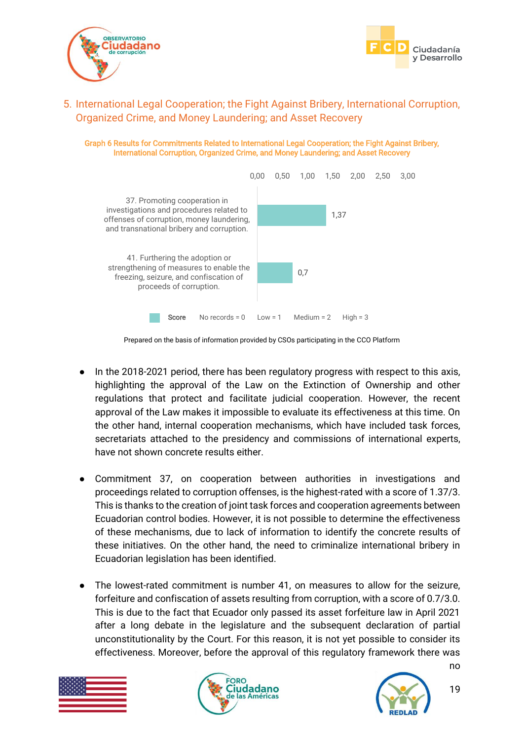



<span id="page-19-0"></span>5. International Legal Cooperation; the Fight Against Bribery, International Corruption, Organized Crime, and Money Laundering; and Asset Recovery

Graph 6 Results for Commitments Related to International Legal Cooperation; the Fight Against Bribery, International Corruption, Organized Crime, and Money Laundering; and Asset Recovery



Prepared on the basis of information provided by CSOs participating in the CCO Platform

- In the 2018-2021 period, there has been regulatory progress with respect to this axis, highlighting the approval of the Law on the Extinction of Ownership and other regulations that protect and facilitate judicial cooperation. However, the recent approval of the Law makes it impossible to evaluate its effectiveness at this time. On the other hand, internal cooperation mechanisms, which have included task forces, secretariats attached to the presidency and commissions of international experts, have not shown concrete results either.
- Commitment 37, on cooperation between authorities in investigations and proceedings related to corruption offenses, is the highest-rated with a score of 1.37/3. This is thanks to the creation of joint task forces and cooperation agreements between Ecuadorian control bodies. However, it is not possible to determine the effectiveness of these mechanisms, due to lack of information to identify the concrete results of these initiatives. On the other hand, the need to criminalize international bribery in Ecuadorian legislation has been identified.
- The lowest-rated commitment is number 41, on measures to allow for the seizure, forfeiture and confiscation of assets resulting from corruption, with a score of 0.7/3.0. This is due to the fact that Ecuador only passed its asset forfeiture law in April 2021 after a long debate in the legislature and the subsequent declaration of partial unconstitutionality by the Court. For this reason, it is not yet possible to consider its effectiveness. Moreover, before the approval of this regulatory framework there was





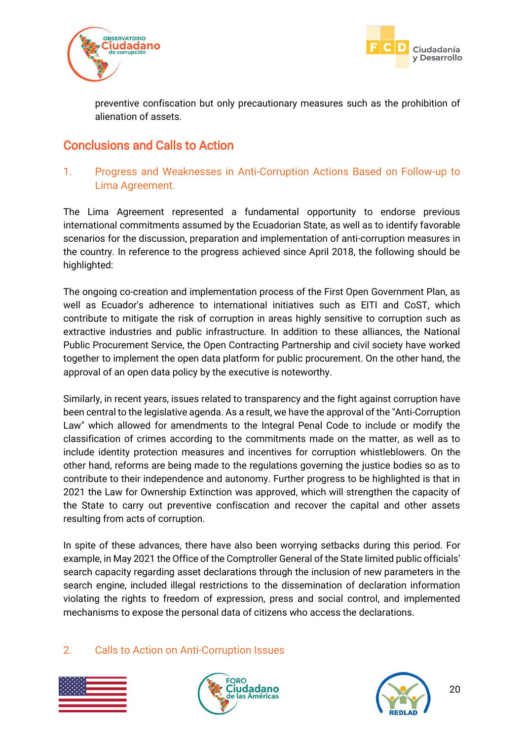



preventive confiscation but only precautionary measures such as the prohibition of alienation of assets.

# <span id="page-20-0"></span>Conclusions and Calls to Action

## <span id="page-20-1"></span>1. Progress and Weaknesses in Anti-Corruption Actions Based on Follow-up to Lima Agreement.

The Lima Agreement represented a fundamental opportunity to endorse previous international commitments assumed by the Ecuadorian State, as well as to identify favorable scenarios for the discussion, preparation and implementation of anti-corruption measures in the country. In reference to the progress achieved since April 2018, the following should be highlighted:

The ongoing co-creation and implementation process of the First Open Government Plan, as well as Ecuador's adherence to international initiatives such as EITI and CoST, which contribute to mitigate the risk of corruption in areas highly sensitive to corruption such as extractive industries and public infrastructure. In addition to these alliances, the National Public Procurement Service, the Open Contracting Partnership and civil society have worked together to implement the open data platform for public procurement. On the other hand, the approval of an open data policy by the executive is noteworthy.

Similarly, in recent years, issues related to transparency and the fight against corruption have been central to the legislative agenda. As a result, we have the approval of the "Anti-Corruption Law" which allowed for amendments to the Integral Penal Code to include or modify the classification of crimes according to the commitments made on the matter, as well as to include identity protection measures and incentives for corruption whistleblowers. On the other hand, reforms are being made to the regulations governing the justice bodies so as to contribute to their independence and autonomy. Further progress to be highlighted is that in 2021 the Law for Ownership Extinction was approved, which will strengthen the capacity of the State to carry out preventive confiscation and recover the capital and other assets resulting from acts of corruption.

In spite of these advances, there have also been worrying setbacks during this period. For example, in May 2021 the Office of the Comptroller General of the State limited public officials' search capacity regarding asset declarations through the inclusion of new parameters in the search engine, included illegal restrictions to the dissemination of declaration information violating the rights to freedom of expression, press and social control, and implemented mechanisms to expose the personal data of citizens who access the declarations.

### <span id="page-20-2"></span>2. Calls to Action on Anti-Corruption Issues





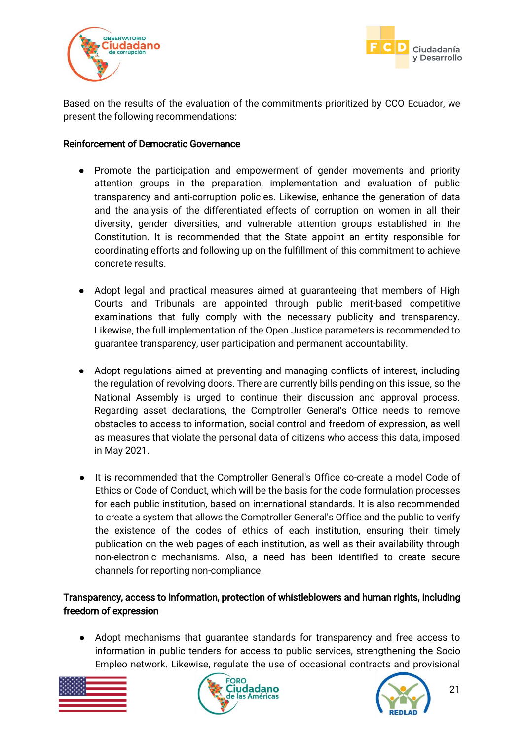



Based on the results of the evaluation of the commitments prioritized by CCO Ecuador, we present the following recommendations:

#### Reinforcement of Democratic Governance

- Promote the participation and empowerment of gender movements and priority attention groups in the preparation, implementation and evaluation of public transparency and anti-corruption policies. Likewise, enhance the generation of data and the analysis of the differentiated effects of corruption on women in all their diversity, gender diversities, and vulnerable attention groups established in the Constitution. It is recommended that the State appoint an entity responsible for coordinating efforts and following up on the fulfillment of this commitment to achieve concrete results.
- Adopt legal and practical measures aimed at guaranteeing that members of High Courts and Tribunals are appointed through public merit-based competitive examinations that fully comply with the necessary publicity and transparency. Likewise, the full implementation of the Open Justice parameters is recommended to guarantee transparency, user participation and permanent accountability.
- Adopt regulations aimed at preventing and managing conflicts of interest, including the regulation of revolving doors. There are currently bills pending on this issue, so the National Assembly is urged to continue their discussion and approval process. Regarding asset declarations, the Comptroller General's Office needs to remove obstacles to access to information, social control and freedom of expression, as well as measures that violate the personal data of citizens who access this data, imposed in May 2021.
- It is recommended that the Comptroller General's Office co-create a model Code of Ethics or Code of Conduct, which will be the basis for the code formulation processes for each public institution, based on international standards. It is also recommended to create a system that allows the Comptroller General's Office and the public to verify the existence of the codes of ethics of each institution, ensuring their timely publication on the web pages of each institution, as well as their availability through non-electronic mechanisms. Also, a need has been identified to create secure channels for reporting non-compliance.

### Transparency, access to information, protection of whistleblowers and human rights, including freedom of expression

● Adopt mechanisms that guarantee standards for transparency and free access to information in public tenders for access to public services, strengthening the Socio Empleo network. Likewise, regulate the use of occasional contracts and provisional





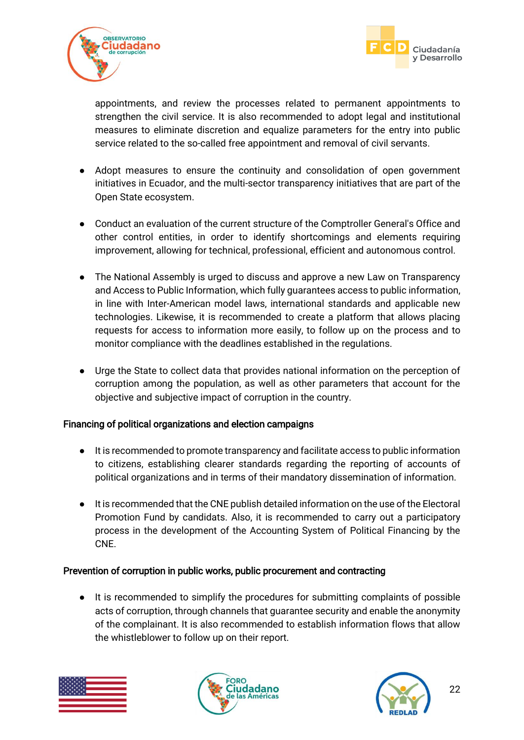



appointments, and review the processes related to permanent appointments to strengthen the civil service. It is also recommended to adopt legal and institutional measures to eliminate discretion and equalize parameters for the entry into public service related to the so-called free appointment and removal of civil servants.

- Adopt measures to ensure the continuity and consolidation of open government initiatives in Ecuador, and the multi-sector transparency initiatives that are part of the Open State ecosystem.
- Conduct an evaluation of the current structure of the Comptroller General's Office and other control entities, in order to identify shortcomings and elements requiring improvement, allowing for technical, professional, efficient and autonomous control.
- The National Assembly is urged to discuss and approve a new Law on Transparency and Access to Public Information, which fully guarantees access to public information, in line with Inter-American model laws, international standards and applicable new technologies. Likewise, it is recommended to create a platform that allows placing requests for access to information more easily, to follow up on the process and to monitor compliance with the deadlines established in the regulations.
- Urge the State to collect data that provides national information on the perception of corruption among the population, as well as other parameters that account for the objective and subjective impact of corruption in the country.

### Financing of political organizations and election campaigns

- It is recommended to promote transparency and facilitate access to public information to citizens, establishing clearer standards regarding the reporting of accounts of political organizations and in terms of their mandatory dissemination of information.
- It is recommended that the CNE publish detailed information on the use of the Electoral Promotion Fund by candidats. Also, it is recommended to carry out a participatory process in the development of the Accounting System of Political Financing by the CNE.

#### Prevention of corruption in public works, public procurement and contracting

● It is recommended to simplify the procedures for submitting complaints of possible acts of corruption, through channels that guarantee security and enable the anonymity of the complainant. It is also recommended to establish information flows that allow the whistleblower to follow up on their report.





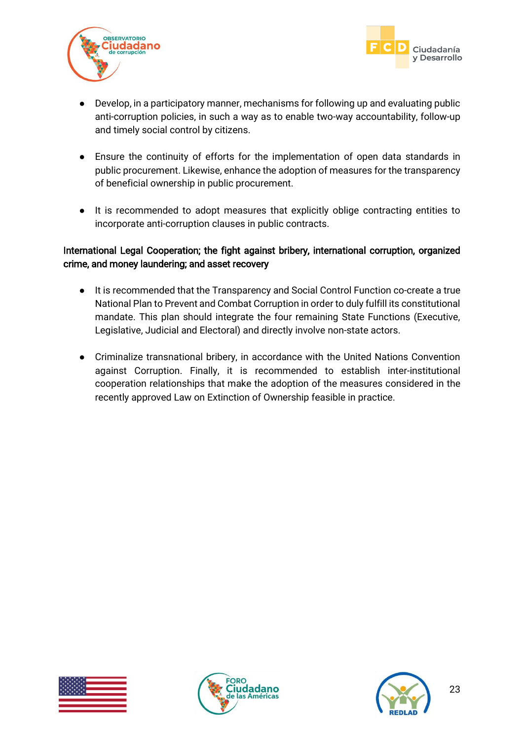



- Develop, in a participatory manner, mechanisms for following up and evaluating public anti-corruption policies, in such a way as to enable two-way accountability, follow-up and timely social control by citizens.
- Ensure the continuity of efforts for the implementation of open data standards in public procurement. Likewise, enhance the adoption of measures for the transparency of beneficial ownership in public procurement.
- It is recommended to adopt measures that explicitly oblige contracting entities to incorporate anti-corruption clauses in public contracts.

### International Legal Cooperation; the fight against bribery, international corruption, organized crime, and money laundering; and asset recovery

- It is recommended that the Transparency and Social Control Function co-create a true National Plan to Prevent and Combat Corruption in order to duly fulfill its constitutional mandate. This plan should integrate the four remaining State Functions (Executive, Legislative, Judicial and Electoral) and directly involve non-state actors.
- Criminalize transnational bribery, in accordance with the United Nations Convention against Corruption. Finally, it is recommended to establish inter-institutional cooperation relationships that make the adoption of the measures considered in the recently approved Law on Extinction of Ownership feasible in practice.





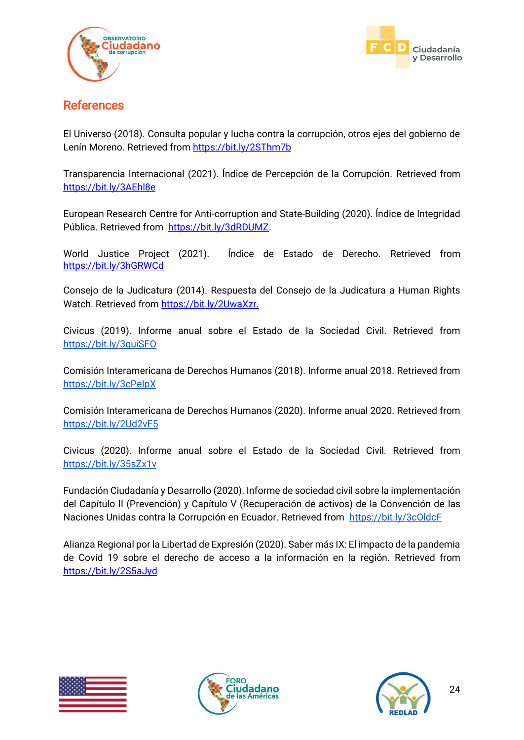



## <span id="page-24-0"></span>References

El Universo (2018). Consulta popular y lucha contra la corrupción, otros ejes del gobierno de Lenín Moreno. Retrieved from<https://bit.ly/2SThm7b>

Transparencia Internacional (2021). Índice de Percepción de la Corrupción. Retrieved from <https://bit.ly/3AEhl8e>

European Research Centre for Anti-corruption and State-Building (2020). Índice de Integridad Pública. Retrieved from [https://bit.ly/3dRDUMZ.](https://bit.ly/3dRDUMZ)

World Justice Project (2021). Índice de Estado de Derecho. Retrieved from <https://bit.ly/3hGRWCd>

Consejo de la Judicatura (2014). Respuesta del Consejo de la Judicatura a Human Rights Watch. Retrieved from [https://bit.ly/2UwaXzr.](https://bit.ly/2UwaXzr)

Civicus (2019). Informe anual sobre el Estado de la Sociedad Civil. Retrieved from <https://bit.ly/3guiSFO>

Comisión Interamericana de Derechos Humanos (2018). Informe anual 2018. Retrieved from <https://bit.ly/3cPeIpX>

Comisión Interamericana de Derechos Humanos (2020). Informe anual 2020. Retrieved fro[m](https://bit.ly/2Ud2vF5) <https://bit.ly/2Ud2vF5>

Civicus (2020). Informe anual sobre el Estado de la Sociedad Civil. Retrieved from <https://bit.ly/35sZx1v>

Fundación Ciudadanía y Desarrollo (2020). Informe de sociedad civil sobre la implementación del Capítulo II (Prevención) y Capítulo V (Recuperación de activos) de la Convención de las Naciones Unidas contra la Corrupción en Ecuador. Retrieved from<https://bit.ly/3cOldcF>

Alianza Regional por la Libertad de Expresión (2020). Saber más IX: El impacto de la pandemia de Covid 19 sobre el derecho de acceso a la información en la región. Retrieved from [https://bit.ly/2S5aJyd](about:blank)





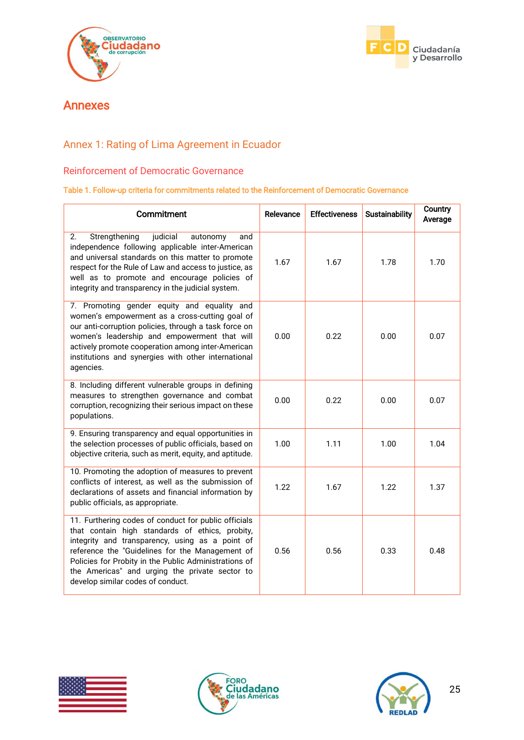



## <span id="page-25-0"></span>Annexes

## <span id="page-25-1"></span>Annex 1: Rating of Lima Agreement in Ecuador

#### <span id="page-25-2"></span>Reinforcement of Democratic Governance

#### Table 1. Follow-up criteria for commitments related to the Reinforcement of Democratic Governance

| Commitment                                                                                                                                                                                                                                                                                                                                                    | Relevance | <b>Effectiveness</b> | Sustainability | Country<br>Average |
|---------------------------------------------------------------------------------------------------------------------------------------------------------------------------------------------------------------------------------------------------------------------------------------------------------------------------------------------------------------|-----------|----------------------|----------------|--------------------|
| Strengthening<br>judicial<br>2.<br>autonomy<br>and<br>independence following applicable inter-American<br>and universal standards on this matter to promote<br>respect for the Rule of Law and access to justice, as<br>well as to promote and encourage policies of<br>integrity and transparency in the judicial system.                                    | 1.67      | 1.67                 | 1.78           | 1.70               |
| 7. Promoting gender equity and equality and<br>women's empowerment as a cross-cutting goal of<br>our anti-corruption policies, through a task force on<br>women's leadership and empowerment that will<br>actively promote cooperation among inter-American<br>institutions and synergies with other international<br>agencies.                               | 0.00      | 0.22                 | 0.00           | 0.07               |
| 8. Including different vulnerable groups in defining<br>measures to strengthen governance and combat<br>corruption, recognizing their serious impact on these<br>populations.                                                                                                                                                                                 | 0.00      | 0.22                 | 0.00           | 0.07               |
| 9. Ensuring transparency and equal opportunities in<br>the selection processes of public officials, based on<br>objective criteria, such as merit, equity, and aptitude.                                                                                                                                                                                      | 1.00      | 1.11                 | 1.00           | 1.04               |
| 10. Promoting the adoption of measures to prevent<br>conflicts of interest, as well as the submission of<br>declarations of assets and financial information by<br>public officials, as appropriate.                                                                                                                                                          | 1.22      | 1.67                 | 1.22           | 1.37               |
| 11. Furthering codes of conduct for public officials<br>that contain high standards of ethics, probity,<br>integrity and transparency, using as a point of<br>reference the "Guidelines for the Management of<br>Policies for Probity in the Public Administrations of<br>the Americas" and urging the private sector to<br>develop similar codes of conduct. | 0.56      | 0.56                 | 0.33           | 0.48               |





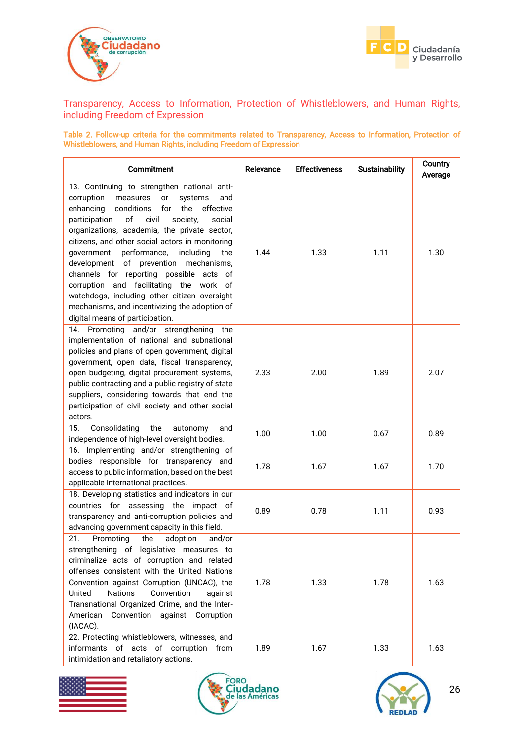



<span id="page-26-0"></span>Transparency, Access to Information, Protection of Whistleblowers, and Human Rights, including Freedom of Expression

Table 2. Follow-up criteria for the commitments related to Transparency, Access to Information, Protection of Whistleblowers, and Human Rights, including Freedom of Expression

| Commitment                                                                                                                                                                                                                                                                                                                                                                                                                                                                                                                                                                                                                              | Relevance | <b>Effectiveness</b> | <b>Sustainability</b> | Country<br>Average |
|-----------------------------------------------------------------------------------------------------------------------------------------------------------------------------------------------------------------------------------------------------------------------------------------------------------------------------------------------------------------------------------------------------------------------------------------------------------------------------------------------------------------------------------------------------------------------------------------------------------------------------------------|-----------|----------------------|-----------------------|--------------------|
| 13. Continuing to strengthen national anti-<br>corruption<br>measures<br>systems<br>or<br>and<br>enhancing<br>conditions<br>for<br>the<br>effective<br>of<br>participation<br>civil<br>society,<br>social<br>organizations, academia, the private sector,<br>citizens, and other social actors in monitoring<br>performance,<br>government<br>including<br>the<br>of prevention<br>development<br>mechanisms,<br>channels for reporting possible acts of<br>corruption and facilitating the work of<br>watchdogs, including other citizen oversight<br>mechanisms, and incentivizing the adoption of<br>digital means of participation. | 1.44      | 1.33                 | 1.11                  | 1.30               |
| 14. Promoting and/or strengthening<br>the<br>implementation of national and subnational<br>policies and plans of open government, digital<br>government, open data, fiscal transparency,<br>open budgeting, digital procurement systems,<br>public contracting and a public registry of state<br>suppliers, considering towards that end the<br>participation of civil society and other social<br>actors.                                                                                                                                                                                                                              | 2.33      | 2.00                 | 1.89                  | 2.07               |
| 15.<br>Consolidating<br>the<br>autonomy<br>and<br>independence of high-level oversight bodies.                                                                                                                                                                                                                                                                                                                                                                                                                                                                                                                                          | 1.00      | 1.00                 | 0.67                  | 0.89               |
| 16. Implementing and/or strengthening of<br>bodies responsible for transparency and<br>access to public information, based on the best<br>applicable international practices.                                                                                                                                                                                                                                                                                                                                                                                                                                                           | 1.78      | 1.67                 | 1.67                  | 1.70               |
| 18. Developing statistics and indicators in our<br>countries for assessing<br>the<br>impact of<br>transparency and anti-corruption policies and<br>advancing government capacity in this field.                                                                                                                                                                                                                                                                                                                                                                                                                                         | 0.89      | 0.78                 | 1.11                  | 0.93               |
| 21.<br>adoption<br>Promoting<br>the<br>and/or<br>strengthening of legislative measures to<br>criminalize acts of corruption and related<br>offenses consistent with the United Nations<br>Convention against Corruption (UNCAC), the<br><b>Nations</b><br>Convention<br>United<br>against<br>Transnational Organized Crime, and the Inter-<br>Convention against Corruption<br>American<br>(IACAC).                                                                                                                                                                                                                                     | 1.78      | 1.33                 | 1.78                  | 1.63               |
| 22. Protecting whistleblowers, witnesses, and<br>informants of acts of corruption<br>from<br>intimidation and retaliatory actions.                                                                                                                                                                                                                                                                                                                                                                                                                                                                                                      | 1.89      | 1.67                 | 1.33                  | 1.63               |





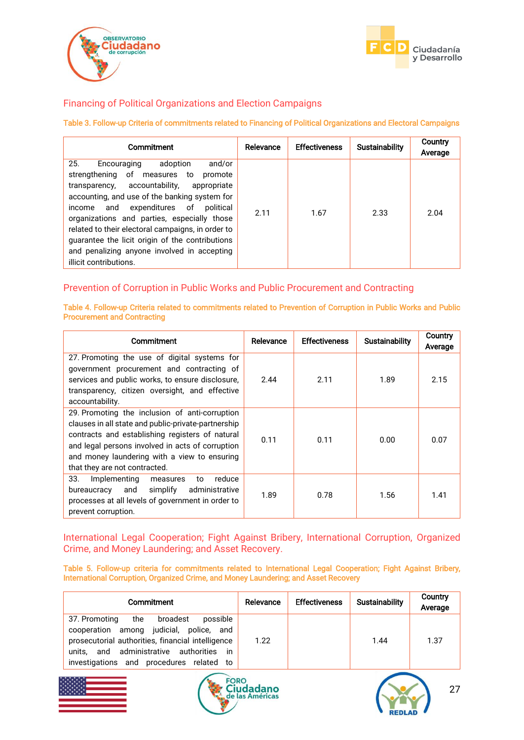



#### <span id="page-27-0"></span>Financing of Political Organizations and Election Campaigns

#### Table 3. Follow-up Criteria of commitments related to Financing of Political Organizations and Electoral Campaigns

| Commitment                                                                                                                                                                                                                                                                                                                                                                                                                                                         | Relevance | <b>Effectiveness</b> | Sustainability | Country<br>Average |
|--------------------------------------------------------------------------------------------------------------------------------------------------------------------------------------------------------------------------------------------------------------------------------------------------------------------------------------------------------------------------------------------------------------------------------------------------------------------|-----------|----------------------|----------------|--------------------|
| 25.<br>and/or<br>adoption<br>Encouraging<br>strengthening of measures to<br>promote<br>transparency, accountability, appropriate<br>accounting, and use of the banking system for<br>and<br>expenditures of<br>political<br>income<br>organizations and parties, especially those<br>related to their electoral campaigns, in order to<br>guarantee the licit origin of the contributions<br>and penalizing anyone involved in accepting<br>illicit contributions. | 2.11      | 1.67                 | 2.33           | 2.04               |

#### <span id="page-27-1"></span>Prevention of Corruption in Public Works and Public Procurement and Contracting

Table 4. Follow-up Criteria related to commitments related to Prevention of Corruption in Public Works and Public Procurement and Contracting

| Commitment                                                                                                                                                                                                                                                                                    | Relevance | <b>Effectiveness</b> | <b>Sustainability</b> | Country<br>Average |
|-----------------------------------------------------------------------------------------------------------------------------------------------------------------------------------------------------------------------------------------------------------------------------------------------|-----------|----------------------|-----------------------|--------------------|
| 27. Promoting the use of digital systems for<br>government procurement and contracting of<br>services and public works, to ensure disclosure,<br>transparency, citizen oversight, and effective<br>accountability.                                                                            | 2.44      | 2.11                 | 1.89                  | 2.15               |
| 29. Promoting the inclusion of anti-corruption<br>clauses in all state and public-private-partnership<br>contracts and establishing registers of natural<br>and legal persons involved in acts of corruption<br>and money laundering with a view to ensuring<br>that they are not contracted. | 0.11      | 0.11                 | 0.00                  | 0.07               |
| 33.<br>Implementing<br>reduce<br>measures<br>to<br>simplify<br>administrative<br>bureaucracy and<br>processes at all levels of government in order to<br>prevent corruption.                                                                                                                  | 1.89      | 0.78                 | 1.56                  | 1.41               |

<span id="page-27-2"></span>International Legal Cooperation; Fight Against Bribery, International Corruption, Organized Crime, and Money Laundering; and Asset Recovery.

Table 5. Follow-up criteria for commitments related to International Legal Cooperation; Fight Against Bribery, International Corruption, Organized Crime, and Money Laundering; and Asset Recovery

| Commitment                                                                                                                                                                                                                              | Relevance | Effectiveness | <b>Sustainability</b> | Country<br>Average |
|-----------------------------------------------------------------------------------------------------------------------------------------------------------------------------------------------------------------------------------------|-----------|---------------|-----------------------|--------------------|
| the<br>37. Promoting<br>possible<br>broadest<br>cooperation among judicial, police, and<br>prosecutorial authorities, financial intelligence<br>and administrative authorities in<br>units.<br>investigations and procedures related to | 1.22      |               | 1.44                  | 1.37               |